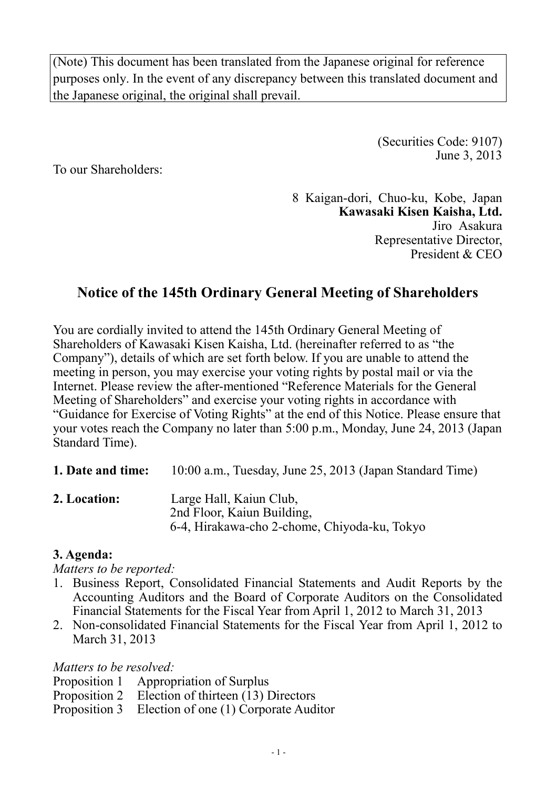(Note) This document has been translated from the Japanese original for reference purposes only. In the event of any discrepancy between this translated document and the Japanese original, the original shall prevail.

> (Securities Code: 9107) June 3, 2013

To our Shareholders:

8 Kaigan-dori, Chuo-ku, Kobe, Japan **Kawasaki Kisen Kaisha, Ltd.**  Jiro Asakura Representative Director, President & CEO

# **Notice of the 145th Ordinary General Meeting of Shareholders**

You are cordially invited to attend the 145th Ordinary General Meeting of Shareholders of Kawasaki Kisen Kaisha, Ltd. (hereinafter referred to as "the Company"), details of which are set forth below. If you are unable to attend the meeting in person, you may exercise your voting rights by postal mail or via the Internet. Please review the after-mentioned "Reference Materials for the General Meeting of Shareholders" and exercise your voting rights in accordance with "Guidance for Exercise of Voting Rights" at the end of this Notice. Please ensure that your votes reach the Company no later than 5:00 p.m., Monday, June 24, 2013 (Japan Standard Time).

**1. Date and time:** 10:00 a.m., Tuesday, June 25, 2013 (Japan Standard Time)

**2. Location:** Large Hall, Kaiun Club, 2nd Floor, Kaiun Building, 6-4, Hirakawa-cho 2-chome, Chiyoda-ku, Tokyo

### **3. Agenda:**

*Matters to be reported:* 

- 1. Business Report, Consolidated Financial Statements and Audit Reports by the Accounting Auditors and the Board of Corporate Auditors on the Consolidated Financial Statements for the Fiscal Year from April 1, 2012 to March 31, 2013
- 2. Non-consolidated Financial Statements for the Fiscal Year from April 1, 2012 to March 31, 2013

*Matters to be resolved:* 

- Proposition 1 Appropriation of Surplus
- Proposition 2 Election of thirteen (13) Directors
- Proposition 3 Election of one (1) Corporate Auditor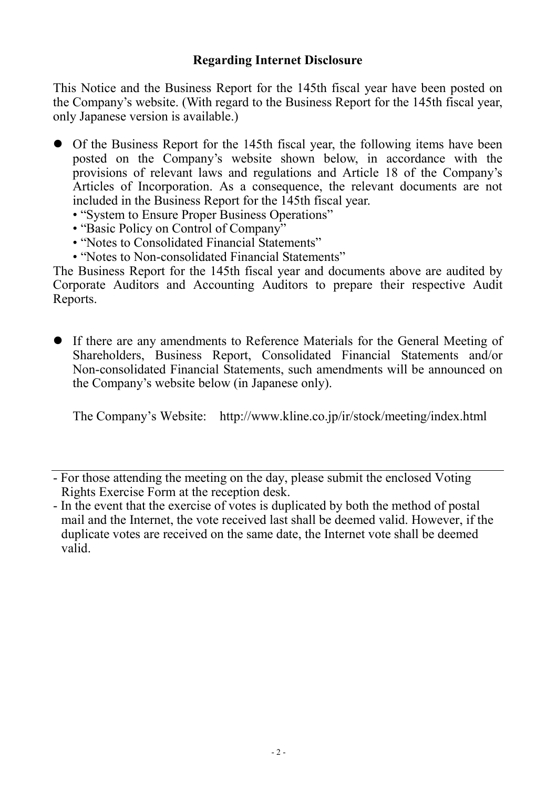This Notice and the Business Report for the 145th fiscal year have been posted on the Company's website. (With regard to the Business Report for the 145th fiscal year, only Japanese version is available.)

- Of the Business Report for the 145th fiscal year, the following items have been posted on the Company's website shown below, in accordance with the provisions of relevant laws and regulations and Article 18 of the Company's Articles of Incorporation. As a consequence, the relevant documents are not included in the Business Report for the 145th fiscal year.
	- "System to Ensure Proper Business Operations"
	- "Basic Policy on Control of Company"
	- "Notes to Consolidated Financial Statements"
	- "Notes to Non-consolidated Financial Statements"

The Business Report for the 145th fiscal year and documents above are audited by Corporate Auditors and Accounting Auditors to prepare their respective Audit Reports.

• If there are any amendments to Reference Materials for the General Meeting of Shareholders, Business Report, Consolidated Financial Statements and/or Non-consolidated Financial Statements, such amendments will be announced on the Company's website below (in Japanese only).

The Company's Website: http://www.kline.co.jp/ir/stock/meeting/index.html

<sup>-</sup> For those attending the meeting on the day, please submit the enclosed Voting Rights Exercise Form at the reception desk.

<sup>-</sup> In the event that the exercise of votes is duplicated by both the method of postal mail and the Internet, the vote received last shall be deemed valid. However, if the duplicate votes are received on the same date, the Internet vote shall be deemed valid.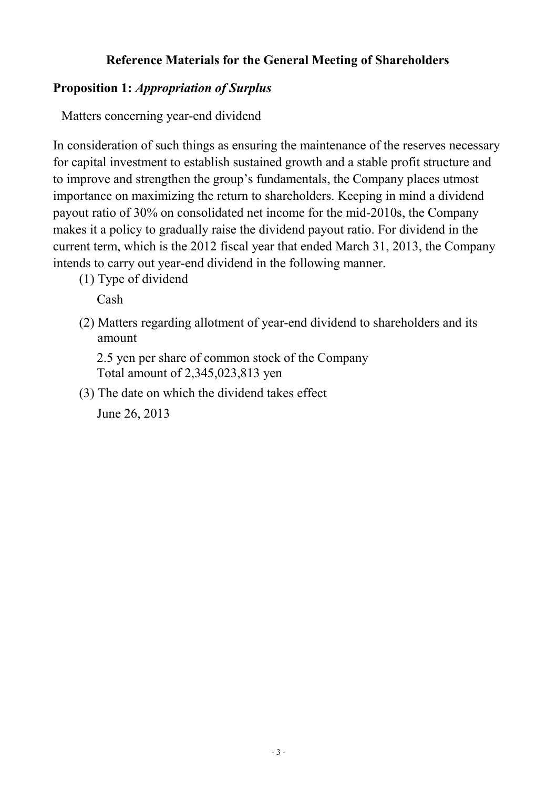# **Reference Materials for the General Meeting of Shareholders**

### **Proposition 1:** *Appropriation of Surplus*

Matters concerning year-end dividend

In consideration of such things as ensuring the maintenance of the reserves necessary for capital investment to establish sustained growth and a stable profit structure and to improve and strengthen the group's fundamentals, the Company places utmost importance on maximizing the return to shareholders. Keeping in mind a dividend payout ratio of 30% on consolidated net income for the mid-2010s, the Company makes it a policy to gradually raise the dividend payout ratio. For dividend in the current term, which is the 2012 fiscal year that ended March 31, 2013, the Company intends to carry out year-end dividend in the following manner.

(1) Type of dividend

Cash

(2) Matters regarding allotment of year-end dividend to shareholders and its amount

2.5 yen per share of common stock of the Company Total amount of 2,345,023,813 yen

(3) The date on which the dividend takes effect

June 26, 2013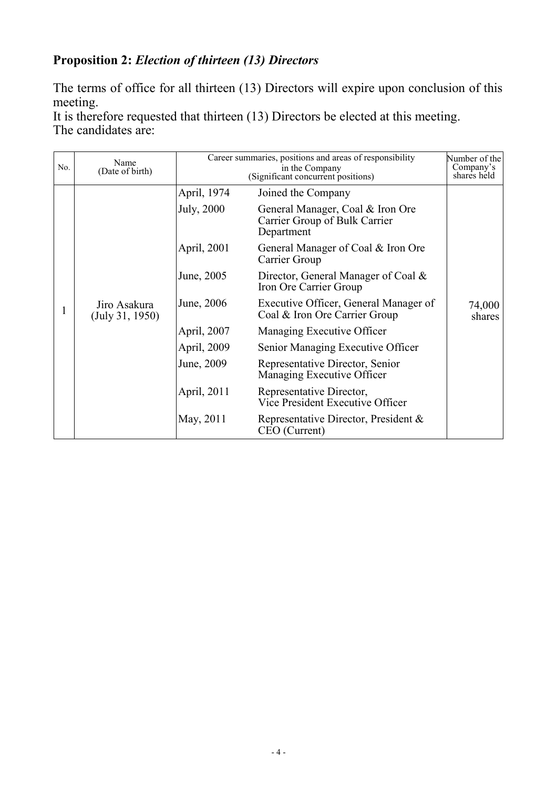# **Proposition 2:** *Election of thirteen (13) Directors*

The terms of office for all thirteen (13) Directors will expire upon conclusion of this meeting.

It is therefore requested that thirteen (13) Directors be elected at this meeting. The candidates are:

| No. | Name<br>(Date of birth)         | Career summaries, positions and areas of responsibility<br>in the Company<br>(Significant concurrent positions) |                                                                                 | Number of the<br>Company's<br>shares held |
|-----|---------------------------------|-----------------------------------------------------------------------------------------------------------------|---------------------------------------------------------------------------------|-------------------------------------------|
|     |                                 | April, 1974                                                                                                     | Joined the Company                                                              |                                           |
|     |                                 | <b>July</b> , 2000                                                                                              | General Manager, Coal & Iron Ore<br>Carrier Group of Bulk Carrier<br>Department |                                           |
|     |                                 | April, 2001                                                                                                     | General Manager of Coal & Iron Ore<br>Carrier Group                             |                                           |
|     |                                 | June, 2005                                                                                                      | Director, General Manager of Coal &<br>Iron Ore Carrier Group                   |                                           |
|     | Jiro Asakura<br>(July 31, 1950) | June, 2006                                                                                                      | Executive Officer, General Manager of<br>Coal & Iron Ore Carrier Group          | 74,000<br>shares                          |
|     |                                 | April, 2007                                                                                                     | Managing Executive Officer                                                      |                                           |
|     |                                 | April, 2009                                                                                                     | Senior Managing Executive Officer                                               |                                           |
|     |                                 | June, 2009                                                                                                      | Representative Director, Senior<br>Managing Executive Officer                   |                                           |
|     |                                 | April, 2011                                                                                                     | Representative Director,<br>Vice President Executive Officer                    |                                           |
|     |                                 | May, 2011                                                                                                       | Representative Director, President &<br>CEO (Current)                           |                                           |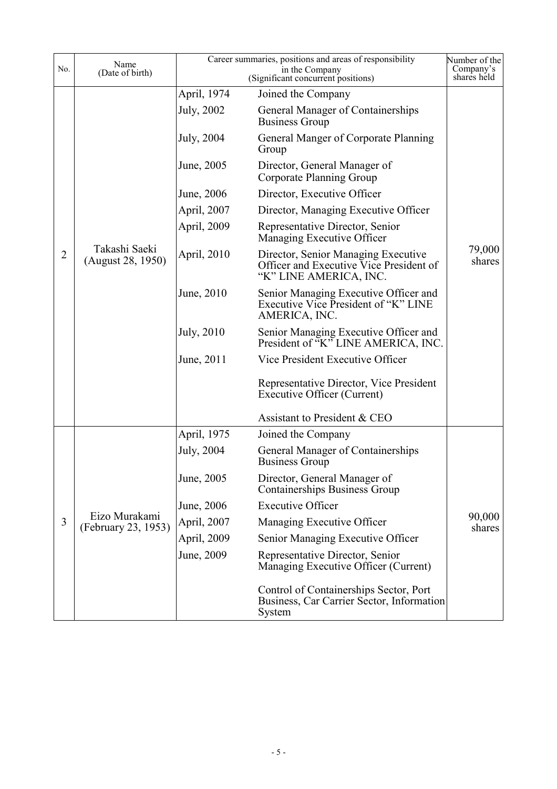| No. | Name<br>(Date of birth)              | Career summaries, positions and areas of responsibility | Number of the<br>Company's<br>shares held                                                                |                  |
|-----|--------------------------------------|---------------------------------------------------------|----------------------------------------------------------------------------------------------------------|------------------|
|     |                                      | April, 1974                                             | Joined the Company                                                                                       |                  |
|     |                                      | July, 2002                                              | General Manager of Containerships<br><b>Business Group</b>                                               |                  |
|     |                                      | July, 2004                                              | General Manger of Corporate Planning<br>Group                                                            |                  |
|     |                                      | June, 2005                                              | Director, General Manager of<br>Corporate Planning Group                                                 |                  |
|     |                                      | June, 2006                                              | Director, Executive Officer                                                                              |                  |
|     |                                      | April, 2007                                             | Director, Managing Executive Officer                                                                     |                  |
|     |                                      | April, 2009                                             | Representative Director, Senior<br>Managing Executive Officer                                            |                  |
| 2   | Takashi Saeki<br>(August 28, 1950)   | April, 2010                                             | Director, Senior Managing Executive<br>Officer and Executive Vice President of<br>"K" LINE AMERICA, INC. | 79,000<br>shares |
|     |                                      | June, 2010                                              | Senior Managing Executive Officer and<br>Executive Vice President of "K" LINE<br>AMERICA, INC.           |                  |
|     |                                      | July, 2010                                              | Senior Managing Executive Officer and<br>President of "K" LINE AMERICA, INC.                             |                  |
|     |                                      | June, 2011                                              | Vice President Executive Officer                                                                         |                  |
|     |                                      |                                                         | Representative Director, Vice President<br><b>Executive Officer (Current)</b>                            |                  |
|     |                                      |                                                         | Assistant to President & CEO                                                                             |                  |
|     |                                      | April, 1975                                             | Joined the Company                                                                                       |                  |
|     | Eizo Murakami<br>(February 23, 1953) | July, 2004                                              | General Manager of Containerships<br><b>Business Group</b>                                               |                  |
|     |                                      | June, 2005                                              | Director, General Manager of<br><b>Containerships Business Group</b>                                     |                  |
|     |                                      | June, 2006                                              | <b>Executive Officer</b>                                                                                 |                  |
| 3   |                                      | April, 2007                                             | Managing Executive Officer                                                                               | 90,000<br>shares |
|     |                                      | April, 2009                                             | Senior Managing Executive Officer                                                                        |                  |
|     |                                      | June, 2009                                              | Representative Director, Senior<br>Managing Executive Officer (Current)                                  |                  |
|     |                                      |                                                         | Control of Containerships Sector, Port<br>Business, Car Carrier Sector, Information<br>System            |                  |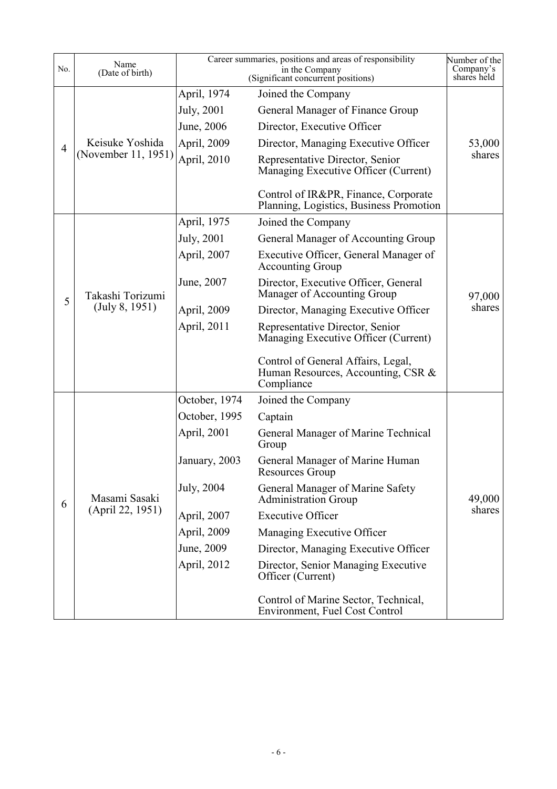| No.            | Name<br>(Date of birth)                |               | Career summaries, positions and areas of responsibility<br>in the Company<br>(Significant concurrent positions) | Number of the<br>Company's<br>shares held |
|----------------|----------------------------------------|---------------|-----------------------------------------------------------------------------------------------------------------|-------------------------------------------|
|                |                                        | April, 1974   | Joined the Company                                                                                              |                                           |
|                |                                        | July, 2001    | General Manager of Finance Group                                                                                |                                           |
|                | Keisuke Yoshida<br>(November 11, 1951) | June, 2006    | Director, Executive Officer                                                                                     |                                           |
| $\overline{4}$ |                                        | April, 2009   | Director, Managing Executive Officer                                                                            | 53,000                                    |
|                |                                        | April, 2010   | Representative Director, Senior<br>Managing Executive Officer (Current)                                         | shares                                    |
|                |                                        |               | Control of IR&PR, Finance, Corporate<br>Planning, Logistics, Business Promotion                                 |                                           |
|                |                                        | April, 1975   | Joined the Company                                                                                              |                                           |
|                |                                        | July, 2001    | General Manager of Accounting Group                                                                             |                                           |
|                |                                        | April, 2007   | Executive Officer, General Manager of<br><b>Accounting Group</b>                                                |                                           |
| 5              | Takashi Torizumi<br>(July 8, 1951)     | June, 2007    | Director, Executive Officer, General<br>Manager of Accounting Group                                             | 97,000                                    |
|                |                                        | April, 2009   | Director, Managing Executive Officer                                                                            | shares                                    |
|                |                                        | April, 2011   | Representative Director, Senior<br>Managing Executive Officer (Current)                                         |                                           |
|                |                                        |               | Control of General Affairs, Legal,<br>Human Resources, Accounting, CSR &<br>Compliance                          |                                           |
|                |                                        | October, 1974 | Joined the Company                                                                                              |                                           |
|                |                                        | October, 1995 | Captain                                                                                                         |                                           |
|                | Masami Sasaki                          | April, 2001   | General Manager of Marine Technical<br>Group                                                                    |                                           |
|                |                                        | January, 2003 | General Manager of Marine Human<br>Resources Group                                                              |                                           |
| 6              |                                        | July, 2004    | General Manager of Marine Safety<br><b>Administration Group</b>                                                 | 49,000                                    |
|                | (April 22, 1951)                       | April, 2007   | <b>Executive Officer</b>                                                                                        | shares                                    |
|                |                                        | April, 2009   | Managing Executive Officer                                                                                      |                                           |
|                |                                        | June, 2009    | Director, Managing Executive Officer                                                                            |                                           |
|                |                                        | April, 2012   | Director, Senior Managing Executive<br>Officer (Current)                                                        |                                           |
|                |                                        |               | Control of Marine Sector, Technical,<br><b>Environment, Fuel Cost Control</b>                                   |                                           |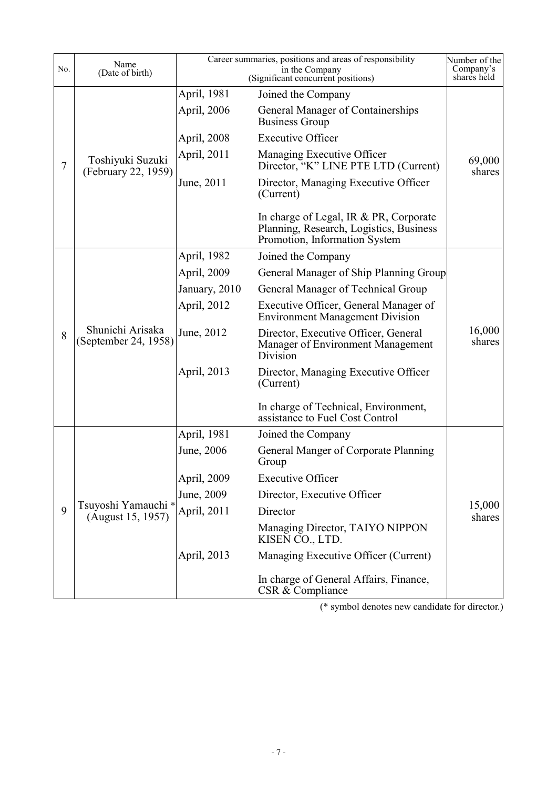| No. | Name<br>(Date of birth)                  |                            | Career summaries, positions and areas of responsibility<br>in the Company<br>(Significant concurrent positions)    | Number of the<br>Company's<br>shares held |
|-----|------------------------------------------|----------------------------|--------------------------------------------------------------------------------------------------------------------|-------------------------------------------|
|     | Toshiyuki Suzuki<br>(February 22, 1959)  | April, 1981<br>April, 2006 | Joined the Company<br>General Manager of Containerships                                                            |                                           |
|     |                                          |                            | <b>Business Group</b>                                                                                              |                                           |
|     |                                          | April, 2008                | <b>Executive Officer</b>                                                                                           |                                           |
| 7   |                                          | April, 2011                | Managing Executive Officer<br>Director, "K" LINE PTE LTD (Current)                                                 | 69,000<br>shares                          |
|     |                                          | June, 2011                 | Director, Managing Executive Officer<br>(Current)                                                                  |                                           |
|     |                                          |                            | In charge of Legal, IR & PR, Corporate<br>Planning, Research, Logistics, Business<br>Promotion, Information System |                                           |
|     |                                          | April, 1982                | Joined the Company                                                                                                 |                                           |
|     |                                          | April, 2009                | General Manager of Ship Planning Group                                                                             |                                           |
|     | Shunichi Arisaka<br>(September 24, 1958) | January, 2010              | General Manager of Technical Group                                                                                 |                                           |
|     |                                          | April, 2012                | Executive Officer, General Manager of<br><b>Environment Management Division</b>                                    |                                           |
| 8   |                                          | June, 2012                 | Director, Executive Officer, General<br>Manager of Environment Management<br>Division                              | 16,000<br>shares                          |
|     |                                          | April, 2013                | Director, Managing Executive Officer<br>(Current)                                                                  |                                           |
|     |                                          |                            | In charge of Technical, Environment,<br>assistance to Fuel Cost Control                                            |                                           |
|     |                                          | April, 1981                | Joined the Company                                                                                                 |                                           |
|     |                                          | June, 2006                 | General Manger of Corporate Planning<br>Group                                                                      |                                           |
|     |                                          | April, 2009                | <b>Executive Officer</b>                                                                                           |                                           |
|     |                                          | June, 2009                 | Director, Executive Officer                                                                                        |                                           |
| 9   | Tsuyoshi Yamauchi *<br>(August 15, 1957) | April, 2011                | Director                                                                                                           | 15,000<br>shares                          |
|     |                                          |                            | Managing Director, TAIYO NIPPON<br>KISEN CO., LTD.                                                                 |                                           |
|     |                                          | April, 2013                | Managing Executive Officer (Current)                                                                               |                                           |
|     |                                          |                            | In charge of General Affairs, Finance,<br>CSR & Compliance                                                         |                                           |

(\* symbol denotes new candidate for director.)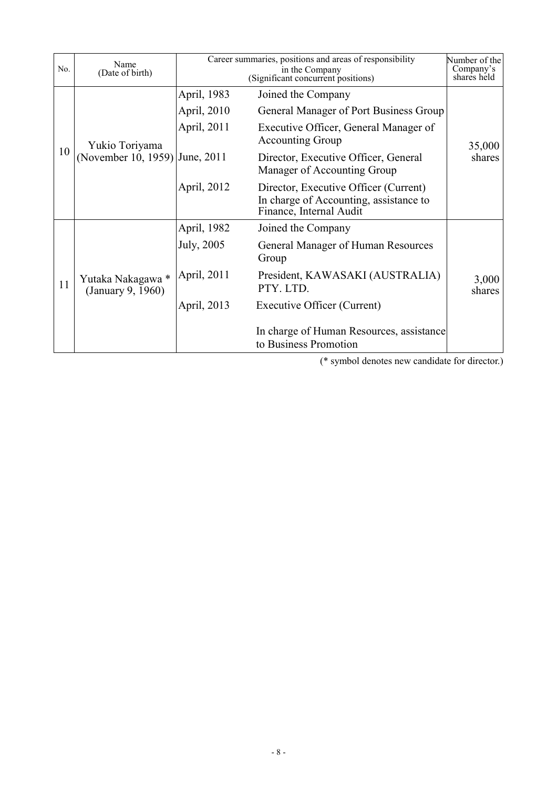| No. | Name<br>(Date of birth)                | Career summaries, positions and areas of responsibility<br>in the Company<br>(Significant concurrent positions) |                                                                                                            | Number of the<br>Company's<br>shares held |
|-----|----------------------------------------|-----------------------------------------------------------------------------------------------------------------|------------------------------------------------------------------------------------------------------------|-------------------------------------------|
|     | Yukio Toriyama<br>(November 10, 1959)  | April, 1983                                                                                                     | Joined the Company                                                                                         |                                           |
|     |                                        | April, 2010                                                                                                     | General Manager of Port Business Group                                                                     |                                           |
|     |                                        | April, 2011                                                                                                     | Executive Officer, General Manager of<br><b>Accounting Group</b>                                           | 35,000<br>shares                          |
| 10  |                                        | June, 2011                                                                                                      | Director, Executive Officer, General<br>Manager of Accounting Group                                        |                                           |
|     |                                        | April, 2012                                                                                                     | Director, Executive Officer (Current)<br>In charge of Accounting, assistance to<br>Finance, Internal Audit |                                           |
| 11  | Yutaka Nakagawa *<br>(January 9, 1960) | April, 1982                                                                                                     | Joined the Company                                                                                         |                                           |
|     |                                        | July, 2005                                                                                                      | General Manager of Human Resources<br>Group                                                                |                                           |
|     |                                        | April, 2011                                                                                                     | President, KAWASAKI (AUSTRALIA)<br>PTY. LTD.                                                               | 3,000<br>shares                           |
|     |                                        | April, 2013                                                                                                     | Executive Officer (Current)                                                                                |                                           |
|     |                                        |                                                                                                                 | In charge of Human Resources, assistance<br>to Business Promotion                                          |                                           |

(\* symbol denotes new candidate for director.)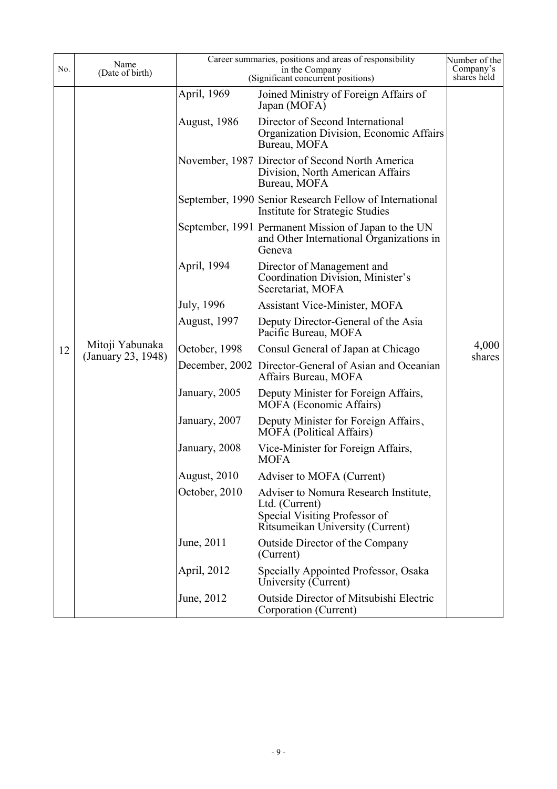| No. | Name<br>(Date of birth) | Career summaries, positions and areas of responsibility<br>in the Company<br>(Significant concurrent positions) |                                                                                                                              | Number of the<br>Company's<br>shares held |
|-----|-------------------------|-----------------------------------------------------------------------------------------------------------------|------------------------------------------------------------------------------------------------------------------------------|-------------------------------------------|
|     |                         | April, 1969                                                                                                     | Joined Ministry of Foreign Affairs of<br>Japan (MOFA)                                                                        |                                           |
|     |                         | <b>August, 1986</b>                                                                                             | Director of Second International<br>Organization Division, Economic Affairs<br>Bureau, MOFA                                  |                                           |
|     |                         |                                                                                                                 | November, 1987 Director of Second North America<br>Division, North American Affairs<br>Bureau, MOFA                          |                                           |
|     |                         |                                                                                                                 | September, 1990 Senior Research Fellow of International<br><b>Institute for Strategic Studies</b>                            |                                           |
|     |                         |                                                                                                                 | September, 1991 Permanent Mission of Japan to the UN<br>and Other International Organizations in<br>Geneva                   |                                           |
|     |                         | April, 1994                                                                                                     | Director of Management and<br>Coordination Division, Minister's<br>Secretariat, MOFA                                         |                                           |
|     |                         | July, 1996                                                                                                      | <b>Assistant Vice-Minister, MOFA</b>                                                                                         |                                           |
|     |                         | <b>August, 1997</b>                                                                                             | Deputy Director-General of the Asia<br>Pacific Bureau, MOFA                                                                  |                                           |
| 12  | Mitoji Yabunaka         | October, 1998                                                                                                   | Consul General of Japan at Chicago                                                                                           | 4,000                                     |
|     | (January 23, 1948)      |                                                                                                                 | December, 2002 Director-General of Asian and Oceanian<br>Affairs Bureau, MOFA                                                | shares                                    |
|     |                         | January, 2005                                                                                                   | Deputy Minister for Foreign Affairs,<br>MOFA (Economic Affairs)                                                              |                                           |
|     |                         | January, 2007                                                                                                   | Deputy Minister for Foreign Affairs,<br><b>MOFA</b> (Political Affairs)                                                      |                                           |
|     |                         | January, 2008                                                                                                   | Vice-Minister for Foreign Affairs,<br><b>MOFA</b>                                                                            |                                           |
|     |                         | August, 2010                                                                                                    | Adviser to MOFA (Current)                                                                                                    |                                           |
|     |                         | October, 2010                                                                                                   | Adviser to Nomura Research Institute,<br>Ltd. (Current)<br>Special Visiting Professor of<br>Ritsumeikan University (Current) |                                           |
|     |                         | June, 2011                                                                                                      | Outside Director of the Company<br>(Current)                                                                                 |                                           |
|     |                         | April, 2012                                                                                                     | Specially Appointed Professor, Osaka<br>University (Current)                                                                 |                                           |
|     |                         | June, 2012                                                                                                      | <b>Outside Director of Mitsubishi Electric</b><br>Corporation (Current)                                                      |                                           |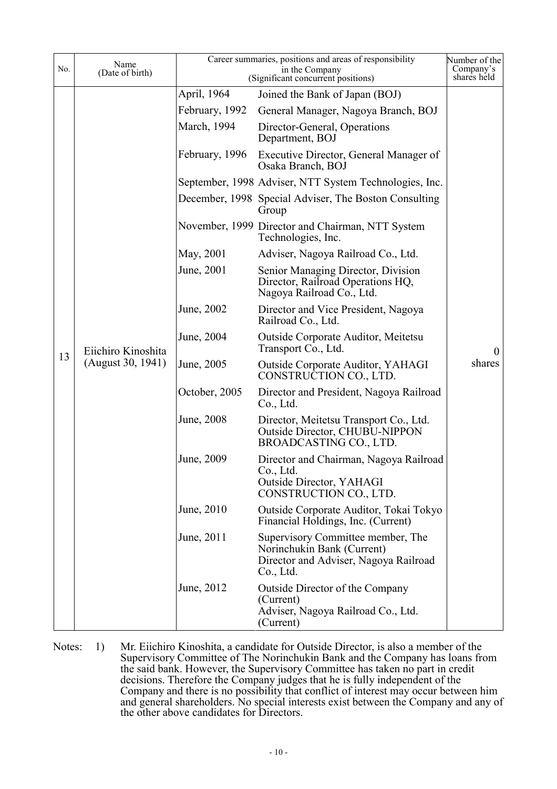| No. | Name<br>(Date of birth) | Career summaries, positions and areas of responsibility<br>in the Company<br>(Significant concurrent positions) |                                                                                                                       | Number of the<br>Company's<br>shares held |
|-----|-------------------------|-----------------------------------------------------------------------------------------------------------------|-----------------------------------------------------------------------------------------------------------------------|-------------------------------------------|
|     |                         | April, 1964                                                                                                     | Joined the Bank of Japan (BOJ)                                                                                        |                                           |
|     |                         | February, 1992                                                                                                  | General Manager, Nagoya Branch, BOJ                                                                                   |                                           |
|     |                         | March, 1994                                                                                                     | Director-General, Operations<br>Department, BOJ                                                                       |                                           |
|     |                         | February, 1996                                                                                                  | Executive Director, General Manager of<br>Osaka Branch, BOJ                                                           |                                           |
|     |                         |                                                                                                                 | September, 1998 Adviser, NTT System Technologies, Inc.                                                                |                                           |
|     |                         |                                                                                                                 | December, 1998 Special Adviser, The Boston Consulting<br>Group                                                        |                                           |
|     |                         |                                                                                                                 | November, 1999 Director and Chairman, NTT System<br>Technologies, Inc.                                                |                                           |
|     |                         | May, 2001                                                                                                       | Adviser, Nagoya Railroad Co., Ltd.                                                                                    |                                           |
|     |                         | June, 2001                                                                                                      | Senior Managing Director, Division<br>Director, Railroad Operations HQ,<br>Nagoya Railroad Co., Ltd.                  | $\overline{0}$                            |
|     |                         | June, 2002                                                                                                      | Director and Vice President, Nagoya<br>Railroad Co., Ltd.                                                             |                                           |
|     | Eiichiro Kinoshita      | June, 2004                                                                                                      | <b>Outside Corporate Auditor, Meitetsu</b><br>Transport Co., Ltd.                                                     |                                           |
| 13  | (August 30, 1941)       | June, 2005                                                                                                      | <b>Outside Corporate Auditor, YAHAGI</b><br>CONSTRUCTION CO., LTD.                                                    | shares                                    |
|     |                         | October, 2005                                                                                                   | Director and President, Nagoya Railroad<br>Co., Ltd.                                                                  |                                           |
|     |                         | June, 2008                                                                                                      | Director, Meitetsu Transport Co., Ltd.<br><b>Outside Director, CHUBU-NIPPON</b><br>BROADCASTING CO., LTD.             |                                           |
|     |                         | June, 2009                                                                                                      | Director and Chairman, Nagoya Railroad<br>Co., Ltd.<br>Outside Director, YAHAGI<br>CONSTRUCTION CO., LTD.             |                                           |
|     |                         | June, 2010                                                                                                      | Outside Corporate Auditor, Tokai Tokyo<br>Financial Holdings, Inc. (Current)                                          |                                           |
|     |                         | June, 2011                                                                                                      | Supervisory Committee member, The<br>Norinchukin Bank (Current)<br>Director and Adviser, Nagoya Railroad<br>Co., Ltd. |                                           |
|     |                         | June, 2012                                                                                                      | Outside Director of the Company<br>(Current)<br>Adviser, Nagoya Railroad Co., Ltd.<br>(Current)                       |                                           |

Notes: 1) Mr. Eiichiro Kinoshita, a candidate for Outside Director, is also a member of the Supervisory Committee of The Norinchukin Bank and the Company has loans from the said bank. However, the Supervisory Committee has taken no part in credit decisions. Therefore the Company judges that he is fully independent of the Company and there is no possibility that conflict of interest may occur between him and general shareholders. No special interests exist between the Company and any of the other above candidates for Directors.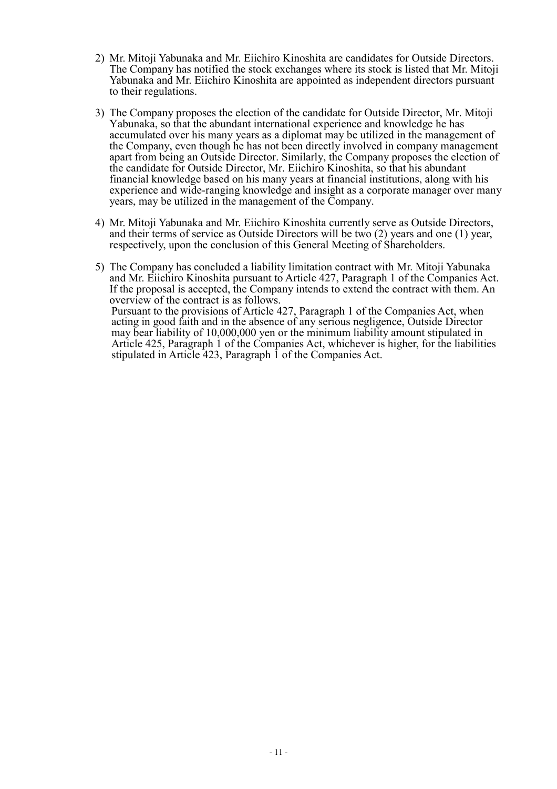- 2) Mr. Mitoji Yabunaka and Mr. Eiichiro Kinoshita are candidates for Outside Directors. The Company has notified the stock exchanges where its stock is listed that Mr. Mitoji Yabunaka and Mr. Eiichiro Kinoshita are appointed as independent directors pursuant to their regulations.
- 3) The Company proposes the election of the candidate for Outside Director, Mr. Mitoji Yabunaka, so that the abundant international experience and knowledge he has accumulated over his many years as a diplomat may be utilized in the management of the Company, even though he has not been directly involved in company management apart from being an Outside Director. Similarly, the Company proposes the election of the candidate for Outside Director, Mr. Eiichiro Kinoshita, so that his abundant financial knowledge based on his many years at financial institutions, along with his experience and wide-ranging knowledge and insight as a corporate manager over many years, may be utilized in the management of the Company.
- 4) Mr. Mitoji Yabunaka and Mr. Eiichiro Kinoshita currently serve as Outside Directors, and their terms of service as Outside Directors will be two (2) years and one (1) year, respectively, upon the conclusion of this General Meeting of Shareholders.
- 5) The Company has concluded a liability limitation contract with Mr. Mitoji Yabunaka and Mr. Eiichiro Kinoshita pursuant to Article 427, Paragraph 1 of the Companies Act. If the proposal is accepted, the Company intends to extend the contract with them. An overview of the contract is as follows. Pursuant to the provisions of Article 427, Paragraph 1 of the Companies Act, when acting in good faith and in the absence of any serious negligence, Outside Director may bear liability of 10,000,000 yen or the minimum liability amount stipulated in Article 425, Paragraph 1 of the Companies Act, whichever is higher, for the liabilities stipulated in Article 423, Paragraph 1 of the Companies Act.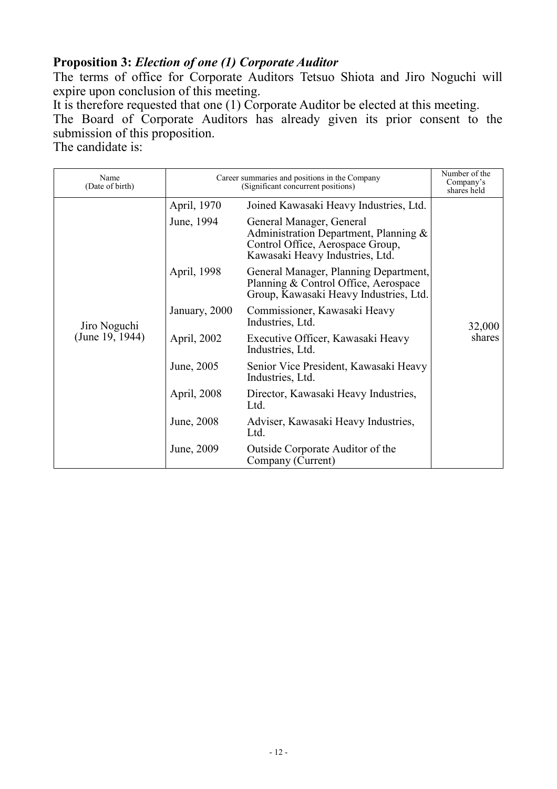# **Proposition 3:** *Election of one (1) Corporate Auditor*

The terms of office for Corporate Auditors Tetsuo Shiota and Jiro Noguchi will expire upon conclusion of this meeting.

It is therefore requested that one (1) Corporate Auditor be elected at this meeting.

The Board of Corporate Auditors has already given its prior consent to the submission of this proposition.

The candidate is:

| Name<br>(Date of birth) | Career summaries and positions in the Company<br>(Significant concurrent positions) |                                                                                                                                             | Number of the<br>Company's<br>shares held |
|-------------------------|-------------------------------------------------------------------------------------|---------------------------------------------------------------------------------------------------------------------------------------------|-------------------------------------------|
|                         | April, 1970                                                                         | Joined Kawasaki Heavy Industries, Ltd.                                                                                                      |                                           |
|                         | June, 1994                                                                          | General Manager, General<br>Administration Department, Planning $\&$<br>Control Office, Aerospace Group,<br>Kawasaki Heavy Industries, Ltd. |                                           |
|                         | April, 1998                                                                         | General Manager, Planning Department,<br>Planning & Control Office, Aerospace<br>Group, Kawasaki Heavy Industries, Ltd.                     |                                           |
| Jiro Noguchi            | January, 2000                                                                       | Commissioner, Kawasaki Heavy<br>Industries, Ltd.                                                                                            | 32,000<br>shares                          |
| (June 19, 1944)         | April, 2002                                                                         | Executive Officer, Kawasaki Heavy<br>Industries, Ltd.                                                                                       |                                           |
|                         | June, 2005                                                                          | Senior Vice President, Kawasaki Heavy<br>Industries, Ltd.                                                                                   |                                           |
|                         | April, 2008                                                                         | Director, Kawasaki Heavy Industries,<br>Ltd.                                                                                                |                                           |
|                         | June, 2008                                                                          | Adviser, Kawasaki Heavy Industries,<br>Ltd.                                                                                                 |                                           |
|                         | June, 2009                                                                          | Outside Corporate Auditor of the<br>Company (Current)                                                                                       |                                           |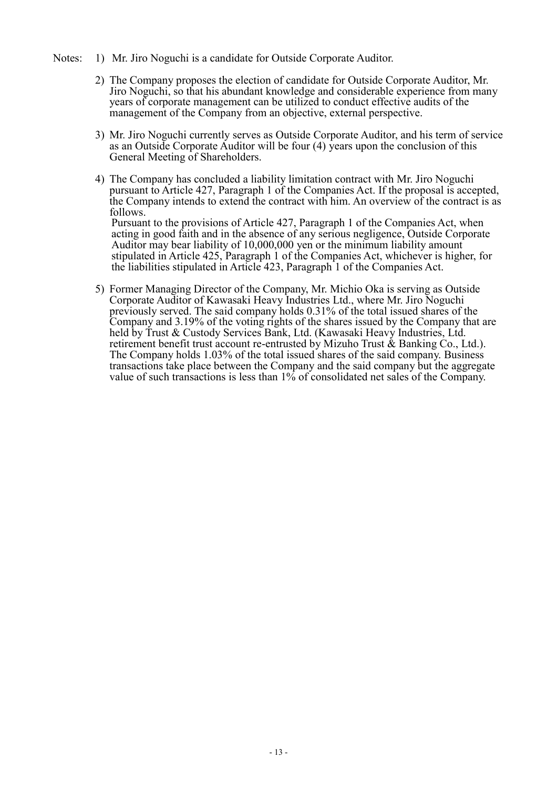- Notes: 1) Mr. Jiro Noguchi is a candidate for Outside Corporate Auditor.
	- 2) The Company proposes the election of candidate for Outside Corporate Auditor, Mr. Jiro Noguchi, so that his abundant knowledge and considerable experience from many years of corporate management can be utilized to conduct effective audits of the management of the Company from an objective, external perspective.
	- 3) Mr. Jiro Noguchi currently serves as Outside Corporate Auditor, and his term of service as an Outside Corporate Auditor will be four (4) years upon the conclusion of this General Meeting of Shareholders.
	- 4) The Company has concluded a liability limitation contract with Mr. Jiro Noguchi pursuant to Article 427, Paragraph 1 of the Companies Act. If the proposal is accepted, the Company intends to extend the contract with him. An overview of the contract is as follows. Pursuant to the provisions of Article 427, Paragraph 1 of the Companies Act, when acting in good faith and in the absence of any serious negligence, Outside Corporate Auditor may bear liability of 10,000,000 yen or the minimum liability amount
	- stipulated in Article 425, Paragraph 1 of the Companies Act, whichever is higher, for the liabilities stipulated in Article 423, Paragraph 1 of the Companies Act. 5) Former Managing Director of the Company, Mr. Michio Oka is serving as Outside
	- Corporate Auditor of Kawasaki Heavy Industries Ltd., where Mr. Jiro Noguchi previously served. The said company holds 0.31% of the total issued shares of the Company and 3.19% of the voting rights of the shares issued by the Company that are held by Trust & Custody Services Bank, Ltd. (Kawasaki Heavy Industries, Ltd. retirement benefit trust account re-entrusted by Mizuho Trust & Banking Co., Ltd.). The Company holds 1.03% of the total issued shares of the said company. Business transactions take place between the Company and the said company but the aggregate value of such transactions is less than 1% of consolidated net sales of the Company.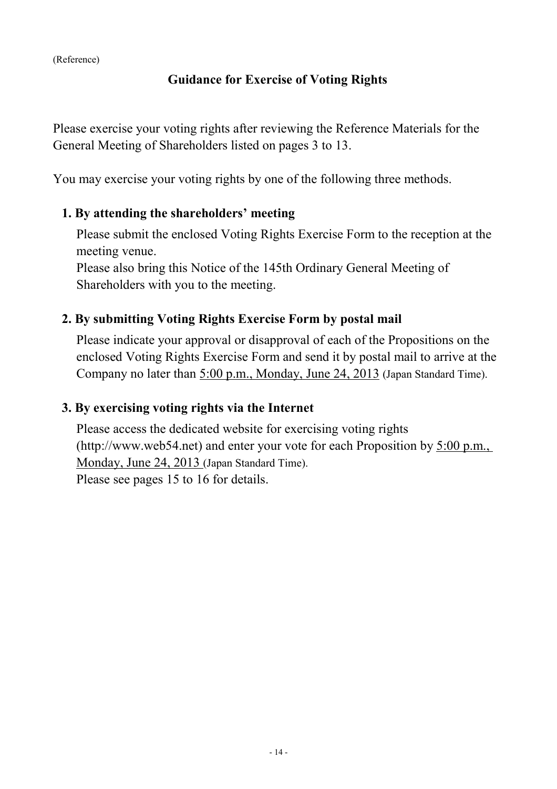# **Guidance for Exercise of Voting Rights**

Please exercise your voting rights after reviewing the Reference Materials for the General Meeting of Shareholders listed on pages 3 to 13.

You may exercise your voting rights by one of the following three methods.

### **1. By attending the shareholders' meeting**

Please submit the enclosed Voting Rights Exercise Form to the reception at the meeting venue.

Please also bring this Notice of the 145th Ordinary General Meeting of Shareholders with you to the meeting.

# **2. By submitting Voting Rights Exercise Form by postal mail**

Please indicate your approval or disapproval of each of the Propositions on the enclosed Voting Rights Exercise Form and send it by postal mail to arrive at the Company no later than 5:00 p.m., Monday, June 24, 2013 (Japan Standard Time).

### **3. By exercising voting rights via the Internet**

Please access the dedicated website for exercising voting rights (http://www.web54.net) and enter your vote for each Proposition by 5:00 p.m., Monday, June 24, 2013 (Japan Standard Time). Please see pages 15 to 16 for details.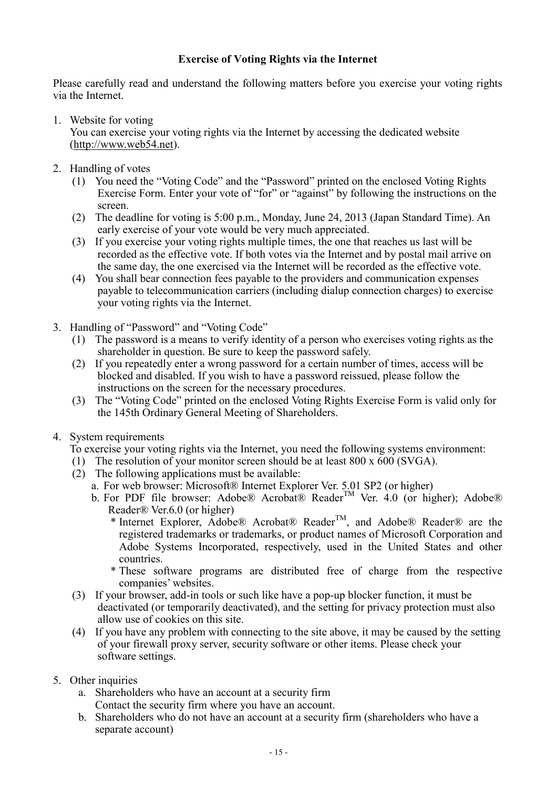#### **Exercise of Voting Rights via the Internet**

Please carefully read and understand the following matters before you exercise your voting rights via the Internet.

1. Website for voting

You can exercise your voting rights via the Internet by accessing the dedicated website (http://www.web54.net).

- 2. Handling of votes
	- (1) You need the "Voting Code" and the "Password" printed on the enclosed Voting Rights Exercise Form. Enter your vote of "for" or "against" by following the instructions on the screen.
	- (2) The deadline for voting is 5:00 p.m., Monday, June 24, 2013 (Japan Standard Time). An early exercise of your vote would be very much appreciated.
	- (3) If you exercise your voting rights multiple times, the one that reaches us last will be recorded as the effective vote. If both votes via the Internet and by postal mail arrive on the same day, the one exercised via the Internet will be recorded as the effective vote.
	- (4) You shall bear connection fees payable to the providers and communication expenses payable to telecommunication carriers (including dialup connection charges) to exercise your voting rights via the Internet.
- 3. Handling of "Password" and "Voting Code"
	- (1) The password is a means to verify identity of a person who exercises voting rights as the shareholder in question. Be sure to keep the password safely.
	- (2) If you repeatedly enter a wrong password for a certain number of times, access will be blocked and disabled. If you wish to have a password reissued, please follow the instructions on the screen for the necessary procedures.
	- (3) The "Voting Code" printed on the enclosed Voting Rights Exercise Form is valid only for the 145th Ordinary General Meeting of Shareholders.
- 4. System requirements

To exercise your voting rights via the Internet, you need the following systems environment:

- (1) The resolution of your monitor screen should be at least 800 x 600 (SVGA).
- $(2)$  The following applications must be available:
	- a. For web browser: Microsoft® Internet Explorer Ver. 5.01 SP2 (or higher)
	- b. For PDF file browser: Adobe® Acrobat® Reader<sup>TM</sup> Ver. 4.0 (or higher); Adobe® Reader® Ver.6.0 (or higher)
		- \* Internet Explorer, Adobe® Acrobat® Reader<sup>TM</sup>, and Adobe® Reader® are the registered trademarks or trademarks, or product names of Microsoft Corporation and Adobe Systems Incorporated, respectively, used in the United States and other countries.
		- \* These software programs are distributed free of charge from the respective companies' websites.
- (3) If your browser, add-in tools or such like have a pop-up blocker function, it must be deactivated (or temporarily deactivated), and the setting for privacy protection must also allow use of cookies on this site.
- (4) If you have any problem with connecting to the site above, it may be caused by the setting of your firewall proxy server, security software or other items. Please check your software settings.
- 5. Other inquiries
	- a. Shareholders who have an account at a security firm Contact the security firm where you have an account.
	- b. Shareholders who do not have an account at a security firm (shareholders who have a separate account)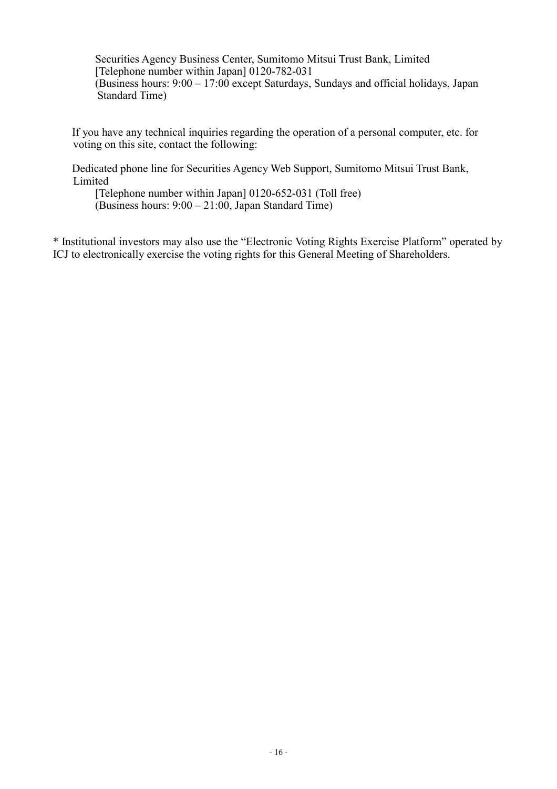Securities Agency Business Center, Sumitomo Mitsui Trust Bank, Limited [Telephone number within Japan] 0120-782-031 (Business hours: 9:00 – 17:00 except Saturdays, Sundays and official holidays, Japan Standard Time)

If you have any technical inquiries regarding the operation of a personal computer, etc. for voting on this site, contact the following:

Dedicated phone line for Securities Agency Web Support, Sumitomo Mitsui Trust Bank, Limited

[Telephone number within Japan] 0120-652-031 (Toll free) (Business hours: 9:00 – 21:00, Japan Standard Time)

\* Institutional investors may also use the "Electronic Voting Rights Exercise Platform" operated by ICJ to electronically exercise the voting rights for this General Meeting of Shareholders.